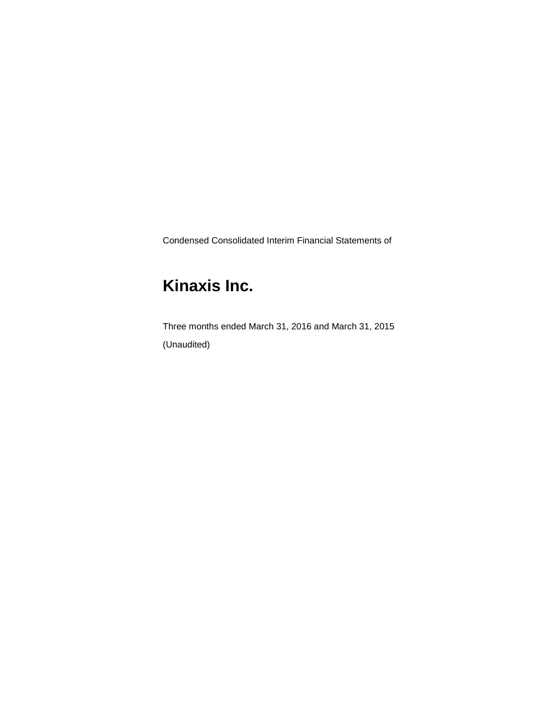Condensed Consolidated Interim Financial Statements of

# **Kinaxis Inc.**

Three months ended March 31, 2016 and March 31, 2015 (Unaudited)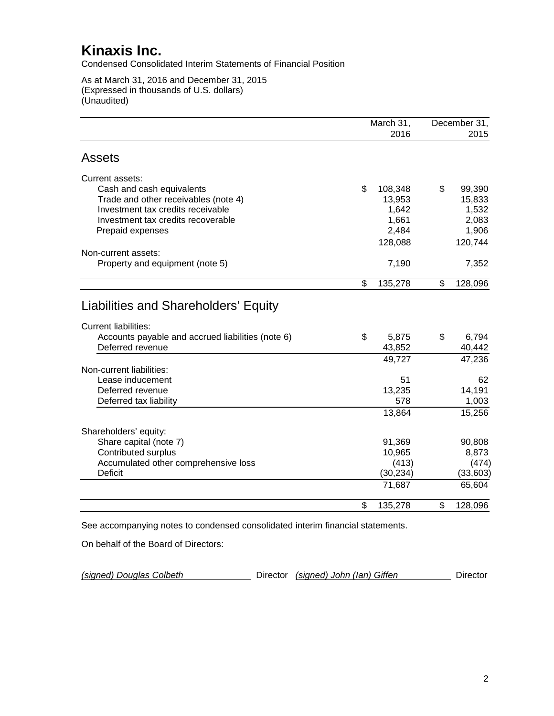Condensed Consolidated Interim Statements of Financial Position

As at March 31, 2016 and December 31, 2015 (Expressed in thousands of U.S. dollars) (Unaudited)

|                                                   | March 31,     |    | December 31, |
|---------------------------------------------------|---------------|----|--------------|
|                                                   | 2016          |    | 2015         |
| <b>Assets</b>                                     |               |    |              |
| Current assets:                                   |               |    |              |
| Cash and cash equivalents                         | \$<br>108,348 | \$ | 99,390       |
| Trade and other receivables (note 4)              | 13,953        |    | 15,833       |
| Investment tax credits receivable                 | 1,642         |    | 1,532        |
| Investment tax credits recoverable                | 1,661         |    | 2,083        |
| Prepaid expenses                                  | 2,484         |    | 1,906        |
|                                                   | 128,088       |    | 120,744      |
| Non-current assets:                               |               |    |              |
| Property and equipment (note 5)                   | 7,190         |    | 7,352        |
|                                                   | \$<br>135,278 | \$ | 128,096      |
| Liabilities and Shareholders' Equity              |               |    |              |
| <b>Current liabilities:</b>                       |               |    |              |
| Accounts payable and accrued liabilities (note 6) | \$<br>5,875   | \$ | 6,794        |
| Deferred revenue                                  | 43,852        |    | 40,442       |
|                                                   | 49,727        |    | 47,236       |
| Non-current liabilities:                          |               |    |              |
| Lease inducement                                  | 51            |    | 62           |
| Deferred revenue                                  | 13,235        |    | 14,191       |
| Deferred tax liability                            | 578           |    | 1,003        |
|                                                   | 13,864        |    | 15,256       |
| Shareholders' equity:                             |               |    |              |
| Share capital (note 7)                            | 91,369        |    | 90,808       |
| Contributed surplus                               | 10,965        |    | 8,873        |
| Accumulated other comprehensive loss              | (413)         |    | (474)        |
| <b>Deficit</b>                                    | (30, 234)     |    | (33,603)     |
|                                                   | 71,687        |    | 65,604       |
|                                                   | \$<br>135,278 | \$ | 128,096      |

See accompanying notes to condensed consolidated interim financial statements.

On behalf of the Board of Directors:

| Director (signed) John (Ian) Giffen<br>(signed) Douglas Colbeth |  | Director |
|-----------------------------------------------------------------|--|----------|
|-----------------------------------------------------------------|--|----------|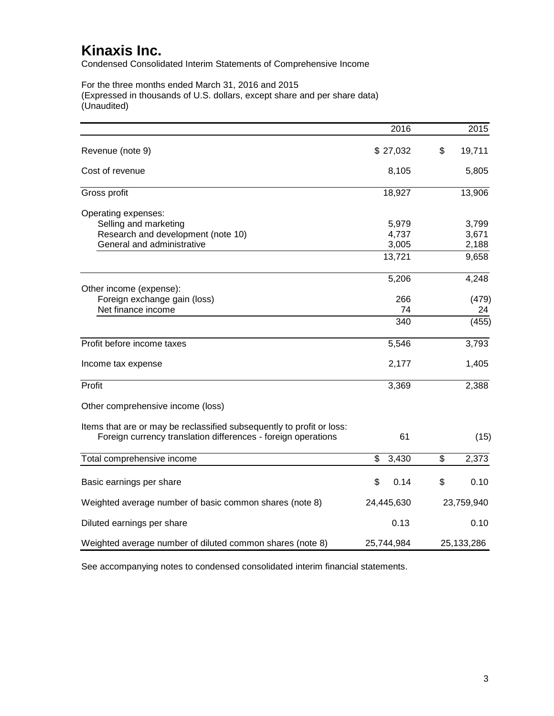Condensed Consolidated Interim Statements of Comprehensive Income

For the three months ended March 31, 2016 and 2015 (Expressed in thousands of U.S. dollars, except share and per share data) (Unaudited)

|                                                                                                                                        | 2016        | 2015         |
|----------------------------------------------------------------------------------------------------------------------------------------|-------------|--------------|
| Revenue (note 9)                                                                                                                       | \$27,032    | \$<br>19,711 |
| Cost of revenue                                                                                                                        | 8,105       | 5,805        |
| Gross profit                                                                                                                           | 18,927      | 13,906       |
| Operating expenses:                                                                                                                    |             |              |
| Selling and marketing                                                                                                                  | 5,979       | 3,799        |
| Research and development (note 10)                                                                                                     | 4,737       | 3,671        |
| General and administrative                                                                                                             | 3,005       | 2,188        |
|                                                                                                                                        | 13,721      | 9,658        |
|                                                                                                                                        | 5,206       | 4,248        |
| Other income (expense):                                                                                                                |             |              |
| Foreign exchange gain (loss)<br>Net finance income                                                                                     | 266<br>74   | (479)<br>24  |
|                                                                                                                                        | 340         | (455)        |
| Profit before income taxes                                                                                                             | 5,546       | 3,793        |
| Income tax expense                                                                                                                     | 2,177       | 1,405        |
| Profit                                                                                                                                 | 3,369       | 2,388        |
| Other comprehensive income (loss)                                                                                                      |             |              |
| Items that are or may be reclassified subsequently to profit or loss:<br>Foreign currency translation differences - foreign operations | 61          | (15)         |
| Total comprehensive income                                                                                                             | \$<br>3,430 | \$<br>2,373  |
|                                                                                                                                        |             |              |
| Basic earnings per share                                                                                                               | \$<br>0.14  | \$<br>0.10   |
| Weighted average number of basic common shares (note 8)                                                                                | 24,445,630  | 23,759,940   |
| Diluted earnings per share                                                                                                             | 0.13        | 0.10         |
| Weighted average number of diluted common shares (note 8)                                                                              | 25,744,984  | 25,133,286   |

See accompanying notes to condensed consolidated interim financial statements.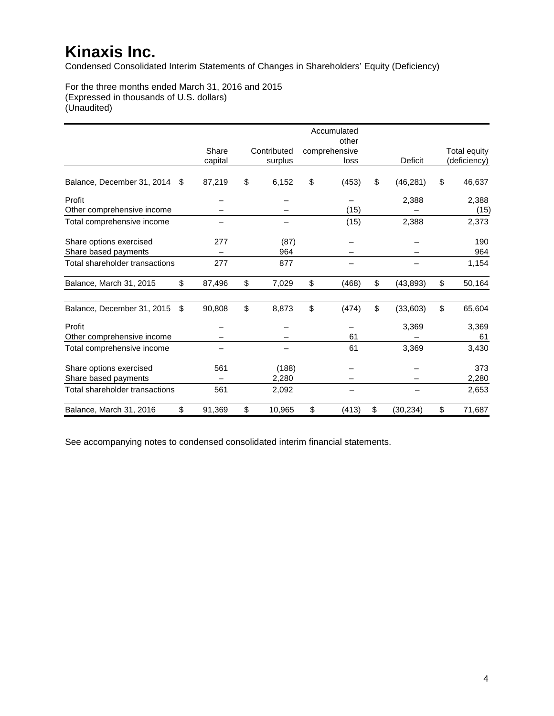Condensed Consolidated Interim Statements of Changes in Shareholders' Equity (Deficiency)

For the three months ended March 31, 2016 and 2015 (Expressed in thousands of U.S. dollars) (Unaudited)

|                                |              |              | Accumulated<br>other |                 |                     |
|--------------------------------|--------------|--------------|----------------------|-----------------|---------------------|
|                                | Share        | Contributed  | comprehensive        |                 | <b>Total equity</b> |
|                                | capital      | surplus      | loss                 | Deficit         | (deficiency)        |
|                                |              |              |                      |                 |                     |
| Balance, December 31, 2014     | \$<br>87,219 | \$<br>6,152  | \$<br>(453)          | \$<br>(46, 281) | \$<br>46,637        |
| Profit                         |              |              |                      | 2,388           | 2,388               |
| Other comprehensive income     |              |              | (15)                 |                 | (15)                |
| Total comprehensive income     |              |              | (15)                 | 2,388           | 2,373               |
| Share options exercised        | 277          | (87)         |                      |                 | 190                 |
| Share based payments           |              | 964          |                      |                 | 964                 |
| Total shareholder transactions | 277          | 877          |                      |                 | 1,154               |
| Balance, March 31, 2015        | \$<br>87,496 | \$<br>7,029  | \$<br>(468)          | \$<br>(43, 893) | \$<br>50,164        |
| Balance, December 31, 2015     | \$<br>90,808 | \$<br>8,873  | \$<br>(474)          | \$<br>(33,603)  | \$<br>65,604        |
| Profit                         |              |              |                      | 3,369           | 3,369               |
| Other comprehensive income     |              |              | 61                   |                 | 61                  |
| Total comprehensive income     |              |              | 61                   | 3,369           | 3,430               |
| Share options exercised        | 561          | (188)        |                      |                 | 373                 |
| Share based payments           |              | 2,280        |                      |                 | 2,280               |
| Total shareholder transactions | 561          | 2,092        |                      |                 | 2,653               |
| Balance, March 31, 2016        | \$<br>91,369 | \$<br>10,965 | \$<br>(413)          | \$<br>(30, 234) | \$<br>71,687        |

See accompanying notes to condensed consolidated interim financial statements.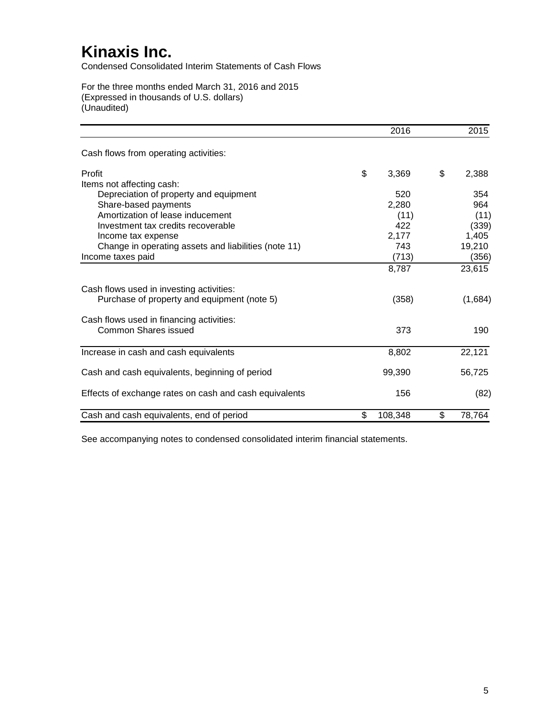Condensed Consolidated Interim Statements of Cash Flows

For the three months ended March 31, 2016 and 2015 (Expressed in thousands of U.S. dollars) (Unaudited)

|                                                        | 2016          | 2015         |
|--------------------------------------------------------|---------------|--------------|
| Cash flows from operating activities:                  |               |              |
| Profit                                                 | \$<br>3,369   | \$<br>2,388  |
| Items not affecting cash:                              |               |              |
| Depreciation of property and equipment                 | 520           | 354          |
| Share-based payments                                   | 2,280         | 964          |
| Amortization of lease inducement                       | (11)          | (11)         |
| Investment tax credits recoverable                     | 422           | (339)        |
| Income tax expense                                     | 2,177         | 1,405        |
| Change in operating assets and liabilities (note 11)   | 743           | 19,210       |
| Income taxes paid                                      | (713)         | (356)        |
|                                                        | 8,787         | 23,615       |
| Cash flows used in investing activities:               |               |              |
| Purchase of property and equipment (note 5)            | (358)         | (1,684)      |
| Cash flows used in financing activities:               |               |              |
| Common Shares issued                                   | 373           | 190          |
| Increase in cash and cash equivalents                  | 8,802         | 22,121       |
|                                                        |               |              |
| Cash and cash equivalents, beginning of period         | 99,390        | 56,725       |
| Effects of exchange rates on cash and cash equivalents | 156           | (82)         |
| Cash and cash equivalents, end of period               | \$<br>108,348 | \$<br>78,764 |

See accompanying notes to condensed consolidated interim financial statements.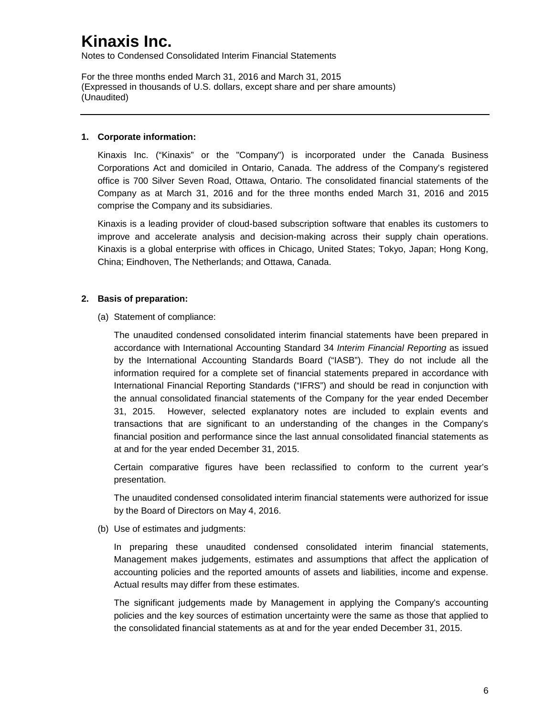Notes to Condensed Consolidated Interim Financial Statements

For the three months ended March 31, 2016 and March 31, 2015 (Expressed in thousands of U.S. dollars, except share and per share amounts) (Unaudited)

#### **1. Corporate information:**

Kinaxis Inc. ("Kinaxis" or the "Company") is incorporated under the Canada Business Corporations Act and domiciled in Ontario, Canada. The address of the Company's registered office is 700 Silver Seven Road, Ottawa, Ontario. The consolidated financial statements of the Company as at March 31, 2016 and for the three months ended March 31, 2016 and 2015 comprise the Company and its subsidiaries.

Kinaxis is a leading provider of cloud-based subscription software that enables its customers to improve and accelerate analysis and decision-making across their supply chain operations. Kinaxis is a global enterprise with offices in Chicago, United States; Tokyo, Japan; Hong Kong, China; Eindhoven, The Netherlands; and Ottawa, Canada.

### **2. Basis of preparation:**

(a) Statement of compliance:

The unaudited condensed consolidated interim financial statements have been prepared in accordance with International Accounting Standard 34 *Interim Financial Reporting* as issued by the International Accounting Standards Board ("IASB"). They do not include all the information required for a complete set of financial statements prepared in accordance with International Financial Reporting Standards ("IFRS") and should be read in conjunction with the annual consolidated financial statements of the Company for the year ended December 31, 2015. However, selected explanatory notes are included to explain events and transactions that are significant to an understanding of the changes in the Company's financial position and performance since the last annual consolidated financial statements as at and for the year ended December 31, 2015.

Certain comparative figures have been reclassified to conform to the current year's presentation.

The unaudited condensed consolidated interim financial statements were authorized for issue by the Board of Directors on May 4, 2016.

(b) Use of estimates and judgments:

In preparing these unaudited condensed consolidated interim financial statements, Management makes judgements, estimates and assumptions that affect the application of accounting policies and the reported amounts of assets and liabilities, income and expense. Actual results may differ from these estimates.

The significant judgements made by Management in applying the Company's accounting policies and the key sources of estimation uncertainty were the same as those that applied to the consolidated financial statements as at and for the year ended December 31, 2015.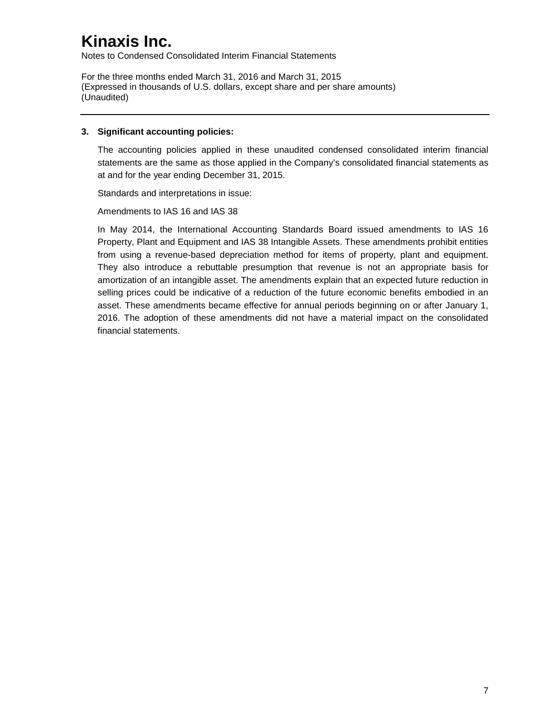Notes to Condensed Consolidated Interim Financial Statements

For the three months ended March 31, 2016 and March 31, 2015 (Expressed in thousands of U.S. dollars, except share and per share amounts) (Unaudited)

### **3. Significant accounting policies:**

The accounting policies applied in these unaudited condensed consolidated interim financial statements are the same as those applied in the Company's consolidated financial statements as at and for the year ending December 31, 2015.

Standards and interpretations in issue:

Amendments to IAS 16 and IAS 38

In May 2014, the International Accounting Standards Board issued amendments to IAS 16 Property, Plant and Equipment and IAS 38 Intangible Assets. These amendments prohibit entities from using a revenue-based depreciation method for items of property, plant and equipment. They also introduce a rebuttable presumption that revenue is not an appropriate basis for amortization of an intangible asset. The amendments explain that an expected future reduction in selling prices could be indicative of a reduction of the future economic benefits embodied in an asset. These amendments became effective for annual periods beginning on or after January 1, 2016. The adoption of these amendments did not have a material impact on the consolidated financial statements.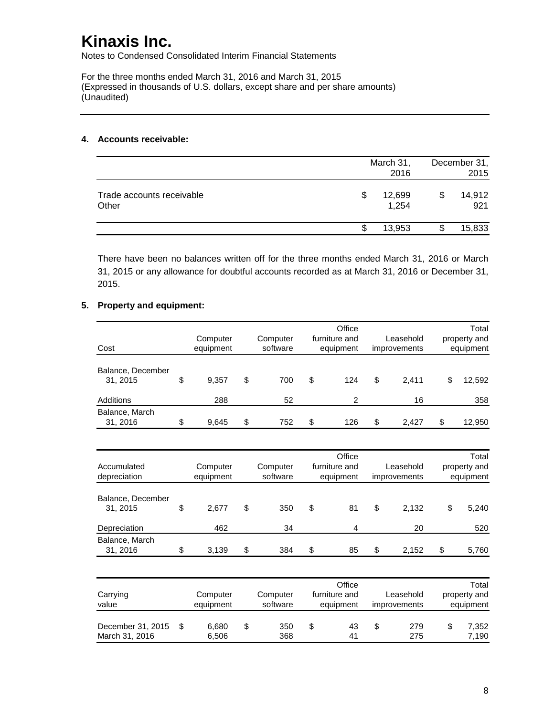Notes to Condensed Consolidated Interim Financial Statements

For the three months ended March 31, 2016 and March 31, 2015 (Expressed in thousands of U.S. dollars, except share and per share amounts) (Unaudited)

#### **4. Accounts receivable:**

|                                    | March 31, | December 31,<br>2015 |  |               |
|------------------------------------|-----------|----------------------|--|---------------|
| Trade accounts receivable<br>Other | S         | 12,699<br>1,254      |  | 14,912<br>921 |
|                                    | S         | 13,953               |  | 15,833        |

There have been no balances written off for the three months ended March 31, 2016 or March 31, 2015 or any allowance for doubtful accounts recorded as at March 31, 2016 or December 31, 2015.

### **5. Property and equipment:**

|                   |             |           | Office         |              | Total        |
|-------------------|-------------|-----------|----------------|--------------|--------------|
|                   | Computer    | Computer  | furniture and  | Leasehold    | property and |
| Cost              | equipment   | software  | equipment      | improvements | equipment    |
|                   |             |           |                |              |              |
| Balance, December |             |           |                |              |              |
| 31, 2015          | \$<br>9,357 | \$<br>700 | \$<br>124      | \$<br>2,411  | \$<br>12,592 |
| Additions         | 288         | 52        | $\overline{2}$ | 16           | 358          |
| Balance, March    |             |           |                |              |              |
| 31, 2016          | \$<br>9,645 | \$<br>752 | \$<br>126      | \$<br>2,427  | \$<br>12,950 |
|                   |             |           |                |              |              |
|                   |             |           | Office         |              | Total        |
| Accumulated       | Computer    | Computer  | furniture and  | Leasehold    | property and |
| depreciation      | equipment   | software  | equipment      | improvements | equipment    |
|                   |             |           |                |              |              |
| Balance, December |             |           |                |              |              |
| 31, 2015          | \$<br>2,677 | \$<br>350 | \$<br>81       | \$<br>2,132  | \$<br>5,240  |
| Depreciation      | 462         | 34        | 4              | 20           | 520          |
| Balance, March    |             |           |                |              |              |
| 31, 2016          | \$<br>3,139 | \$<br>384 | \$<br>85       | \$<br>2,152  | \$<br>5,760  |
|                   |             |           |                |              |              |
|                   |             |           | Office         |              | Total        |
| Carrying          | Computer    | Computer  | furniture and  | Leasehold    | property and |
| value             | equipment   | software  | equipment      | improvements | equipment    |
|                   |             |           |                |              |              |
| December 31, 2015 | \$<br>6,680 | \$<br>350 | \$<br>43       | \$<br>279    | \$<br>7,352  |
| March 31, 2016    | 6,506       | 368       | 41             | 275          | 7,190        |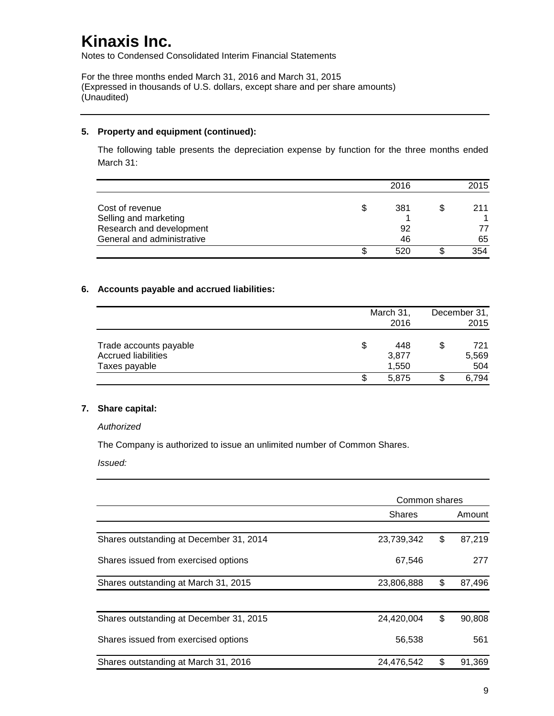Notes to Condensed Consolidated Interim Financial Statements

For the three months ended March 31, 2016 and March 31, 2015 (Expressed in thousands of U.S. dollars, except share and per share amounts) (Unaudited)

### **5. Property and equipment (continued):**

The following table presents the depreciation expense by function for the three months ended March 31:

|                            | 2016 | 2015      |
|----------------------------|------|-----------|
|                            |      |           |
| Cost of revenue            | 381  | \$<br>211 |
| Selling and marketing      |      |           |
| Research and development   | 92   | 77        |
| General and administrative | 46   | 65        |
|                            | 520  | 354       |

### **6. Accounts payable and accrued liabilities:**

|                                                                       |    | March 31,<br>2016     |    |                     |
|-----------------------------------------------------------------------|----|-----------------------|----|---------------------|
| Trade accounts payable<br><b>Accrued liabilities</b><br>Taxes payable | \$ | 448<br>3,877<br>1,550 | \$ | 721<br>5,569<br>504 |
|                                                                       | S  | 5.875                 |    | 6,794               |

#### **7. Share capital:**

*Authorized*

The Company is authorized to issue an unlimited number of Common Shares.

*Issued:*

|                                         | Common shares |              |
|-----------------------------------------|---------------|--------------|
|                                         | <b>Shares</b> | Amount       |
| Shares outstanding at December 31, 2014 | 23,739,342    | \$<br>87,219 |
| Shares issued from exercised options    | 67,546        | 277          |
| Shares outstanding at March 31, 2015    | 23,806,888    | \$<br>87,496 |
| Shares outstanding at December 31, 2015 | 24,420,004    | \$<br>90,808 |
| Shares issued from exercised options    | 56,538        | 561          |
| Shares outstanding at March 31, 2016    | 24,476,542    | \$<br>91,369 |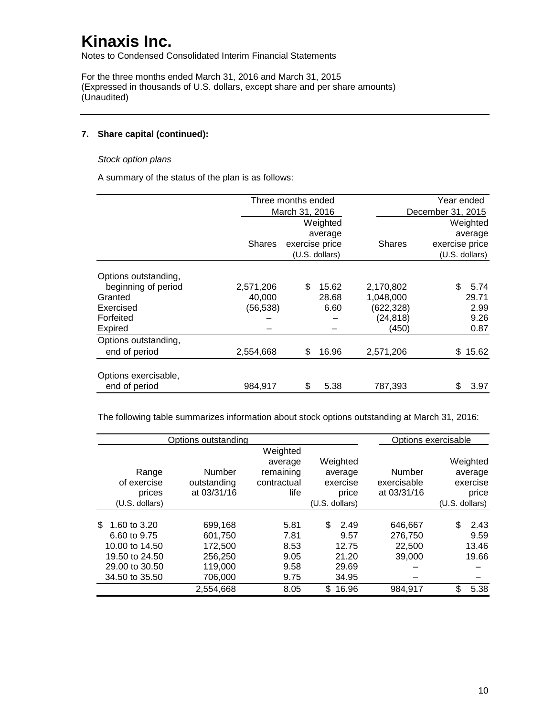Notes to Condensed Consolidated Interim Financial Statements

For the three months ended March 31, 2016 and March 31, 2015 (Expressed in thousands of U.S. dollars, except share and per share amounts) (Unaudited)

### **7. Share capital (continued):**

#### *Stock option plans*

A summary of the status of the plan is as follows:

|                      |               | Three months ended |                |               | Year ended        |  |  |
|----------------------|---------------|--------------------|----------------|---------------|-------------------|--|--|
|                      |               | March 31, 2016     |                |               | December 31, 2015 |  |  |
|                      |               |                    | Weighted       |               | Weighted          |  |  |
|                      |               |                    | average        |               | average           |  |  |
|                      | <b>Shares</b> | exercise price     |                | <b>Shares</b> | exercise price    |  |  |
|                      |               |                    | (U.S. dollars) |               | (U.S. dollars)    |  |  |
| Options outstanding, |               |                    |                |               |                   |  |  |
| beginning of period  | 2,571,206     | \$                 | 15.62          | 2,170,802     | \$<br>5.74        |  |  |
| Granted              | 40,000        |                    | 28.68          | 1,048,000     | 29.71             |  |  |
| Exercised            | (56,538)      |                    | 6.60           | (622,328)     | 2.99              |  |  |
| Forfeited            |               |                    |                | (24, 818)     | 9.26              |  |  |
| <b>Expired</b>       |               |                    |                | (450)         | 0.87              |  |  |
| Options outstanding, |               |                    |                |               |                   |  |  |
| end of period        | 2,554,668     | \$                 | 16.96          | 2,571,206     | \$15.62           |  |  |
| Options exercisable, |               |                    |                |               |                   |  |  |
| end of period        | 984,917       | \$                 | 5.38           | 787,393       | \$<br>3.97        |  |  |

The following table summarizes information about stock options outstanding at March 31, 2016:

|                    | Options outstanding |             |                |             | Options exercisable |
|--------------------|---------------------|-------------|----------------|-------------|---------------------|
|                    |                     | Weighted    |                |             |                     |
|                    |                     | average     | Weighted       |             | Weighted            |
| Range              | Number              | remaining   | average        | Number      | average             |
| of exercise        | outstanding         | contractual | exercise       | exercisable | exercise            |
| prices             | at 03/31/16         | life        | price          | at 03/31/16 | price               |
| $(U.S.$ dollars)   |                     |             | (U.S. dollars) |             | $(U.S.$ dollars)    |
|                    |                     |             |                |             |                     |
| 1.60 to 3.20<br>\$ | 699,168             | 5.81        | \$<br>2.49     | 646,667     | 2.43<br>\$          |
| 6.60 to 9.75       | 601,750             | 7.81        | 9.57           | 276,750     | 9.59                |
| 10.00 to 14.50     | 172,500             | 8.53        | 12.75          | 22,500      | 13.46               |
| 19.50 to 24.50     | 256,250             | 9.05        | 21.20          | 39,000      | 19.66               |
| 29.00 to 30.50     | 119.000             | 9.58        | 29.69          |             |                     |
| 34.50 to 35.50     | 706,000             | 9.75        | 34.95          |             |                     |
|                    | 2,554,668           | 8.05        | 16.96<br>\$.   | 984,917     | \$<br>5.38          |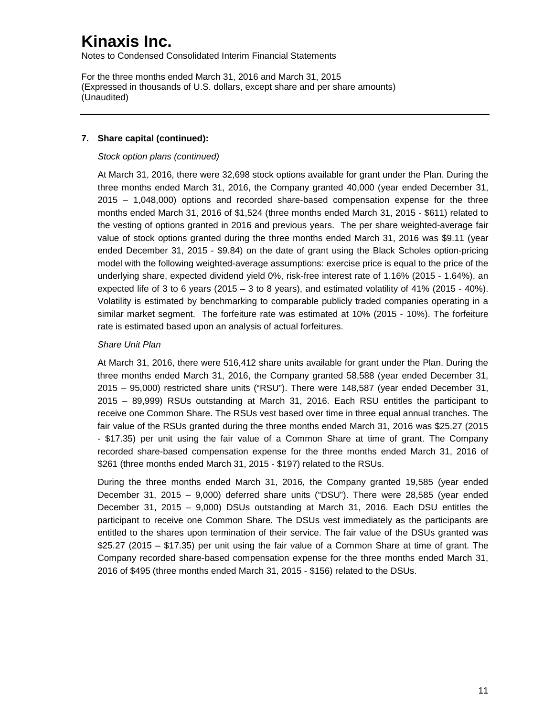Notes to Condensed Consolidated Interim Financial Statements

For the three months ended March 31, 2016 and March 31, 2015 (Expressed in thousands of U.S. dollars, except share and per share amounts) (Unaudited)

### **7. Share capital (continued):**

### *Stock option plans (continued)*

At March 31, 2016, there were 32,698 stock options available for grant under the Plan. During the three months ended March 31, 2016, the Company granted 40,000 (year ended December 31, 2015 – 1,048,000) options and recorded share-based compensation expense for the three months ended March 31, 2016 of \$1,524 (three months ended March 31, 2015 - \$611) related to the vesting of options granted in 2016 and previous years. The per share weighted-average fair value of stock options granted during the three months ended March 31, 2016 was \$9.11 (year ended December 31, 2015 - \$9.84) on the date of grant using the Black Scholes option-pricing model with the following weighted-average assumptions: exercise price is equal to the price of the underlying share, expected dividend yield 0%, risk-free interest rate of 1.16% (2015 - 1.64%), an expected life of 3 to 6 years (2015 – 3 to 8 years), and estimated volatility of 41% (2015 - 40%). Volatility is estimated by benchmarking to comparable publicly traded companies operating in a similar market segment. The forfeiture rate was estimated at 10% (2015 - 10%). The forfeiture rate is estimated based upon an analysis of actual forfeitures.

### *Share Unit Plan*

At March 31, 2016, there were 516,412 share units available for grant under the Plan. During the three months ended March 31, 2016, the Company granted 58,588 (year ended December 31, 2015 – 95,000) restricted share units ("RSU"). There were 148,587 (year ended December 31, 2015 – 89,999) RSUs outstanding at March 31, 2016. Each RSU entitles the participant to receive one Common Share. The RSUs vest based over time in three equal annual tranches. The fair value of the RSUs granted during the three months ended March 31, 2016 was \$25.27 (2015 - \$17.35) per unit using the fair value of a Common Share at time of grant. The Company recorded share-based compensation expense for the three months ended March 31, 2016 of \$261 (three months ended March 31, 2015 - \$197) related to the RSUs.

During the three months ended March 31, 2016, the Company granted 19,585 (year ended December 31, 2015 – 9,000) deferred share units ("DSU"). There were 28,585 (year ended December 31, 2015 – 9,000) DSUs outstanding at March 31, 2016. Each DSU entitles the participant to receive one Common Share. The DSUs vest immediately as the participants are entitled to the shares upon termination of their service. The fair value of the DSUs granted was \$25.27 (2015 – \$17.35) per unit using the fair value of a Common Share at time of grant. The Company recorded share-based compensation expense for the three months ended March 31, 2016 of \$495 (three months ended March 31, 2015 - \$156) related to the DSUs.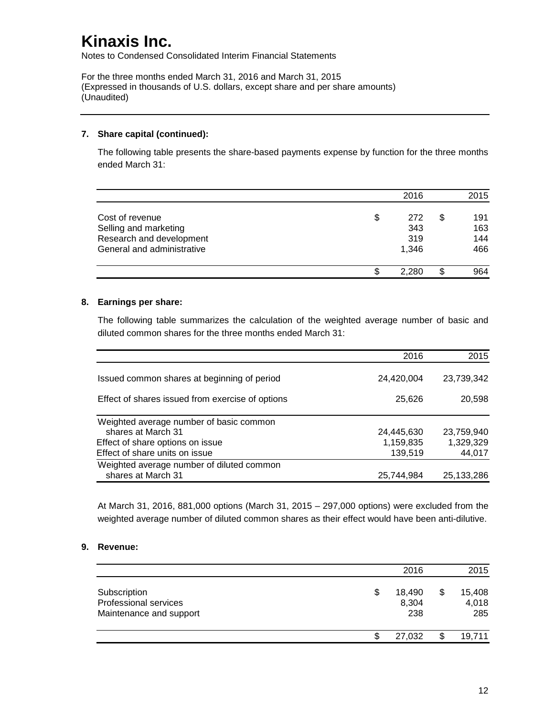Notes to Condensed Consolidated Interim Financial Statements

For the three months ended March 31, 2016 and March 31, 2015 (Expressed in thousands of U.S. dollars, except share and per share amounts) (Unaudited)

### **7. Share capital (continued):**

The following table presents the share-based payments expense by function for the three months ended March 31:

|                            |    | 2016  |   | 2015 |
|----------------------------|----|-------|---|------|
| Cost of revenue            | \$ | 272   | S | 191  |
| Selling and marketing      |    | 343   |   | 163  |
| Research and development   |    | 319   |   | 144  |
| General and administrative |    | 1.346 |   | 466  |
|                            | S. | 2.280 | S | 964  |

### **8. Earnings per share:**

The following table summarizes the calculation of the weighted average number of basic and diluted common shares for the three months ended March 31:

|                                                                    | 2016                 | 2015                |
|--------------------------------------------------------------------|----------------------|---------------------|
| Issued common shares at beginning of period                        | 24,420,004           | 23,739,342          |
| Effect of shares issued from exercise of options                   | 25,626               | 20,598              |
| Weighted average number of basic common<br>shares at March 31      | 24,445,630           | 23,759,940          |
| Effect of share options on issue<br>Effect of share units on issue | 1,159,835<br>139,519 | 1,329,329<br>44,017 |
| Weighted average number of diluted common<br>shares at March 31    | 25,744,984           | 25,133,286          |

At March 31, 2016, 881,000 options (March 31, 2015 – 297,000 options) were excluded from the weighted average number of diluted common shares as their effect would have been anti-dilutive.

### **9. Revenue:**

|                                                                  | 2016                         | 2015                         |
|------------------------------------------------------------------|------------------------------|------------------------------|
| Subscription<br>Professional services<br>Maintenance and support | \$<br>18,490<br>8,304<br>238 | \$<br>15,408<br>4,018<br>285 |
|                                                                  | 27,032                       | 19,711                       |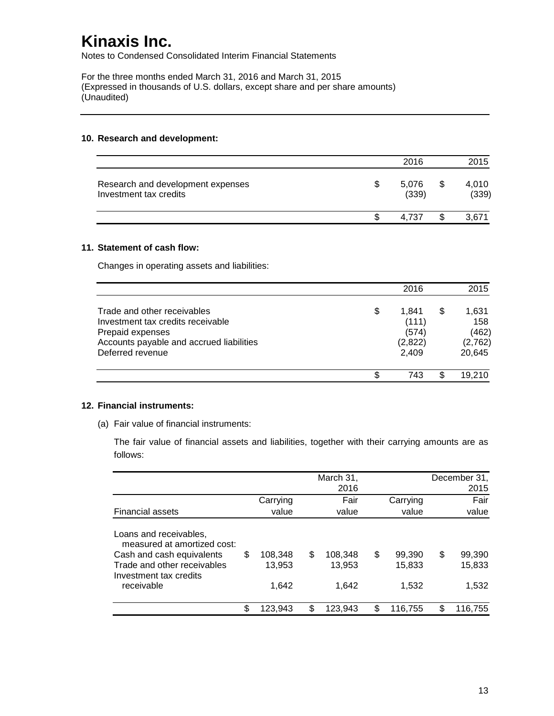Notes to Condensed Consolidated Interim Financial Statements

For the three months ended March 31, 2016 and March 31, 2015 (Expressed in thousands of U.S. dollars, except share and per share amounts) (Unaudited)

#### **10. Research and development:**

|                                                             | 2016           |   | 2015           |
|-------------------------------------------------------------|----------------|---|----------------|
| Research and development expenses<br>Investment tax credits | 5,076<br>(339) | S | 4,010<br>(339) |
|                                                             | 4.737          |   | 3.671          |

#### **11. Statement of cash flow:**

Changes in operating assets and liabilities:

|                                                                                                                                                      |    | 2016                                        |   | 2015                                       |
|------------------------------------------------------------------------------------------------------------------------------------------------------|----|---------------------------------------------|---|--------------------------------------------|
| Trade and other receivables<br>Investment tax credits receivable<br>Prepaid expenses<br>Accounts payable and accrued liabilities<br>Deferred revenue | \$ | 1.841<br>(111)<br>(574)<br>(2,822)<br>2,409 | S | 1,631<br>158<br>(462)<br>(2,762)<br>20,645 |
|                                                                                                                                                      | S. | 743                                         |   | 19,210                                     |

#### **12. Financial instruments:**

(a) Fair value of financial instruments:

The fair value of financial assets and liabilities, together with their carrying amounts are as follows:

|                                                                                                                                                           |                                  |     | March 31,<br>2016          |                                 | December 31,<br>2015            |
|-----------------------------------------------------------------------------------------------------------------------------------------------------------|----------------------------------|-----|----------------------------|---------------------------------|---------------------------------|
| <b>Financial assets</b>                                                                                                                                   | Carrying<br>value                |     | Fair<br>value              | Carrying<br>value               | Fair<br>value                   |
| Loans and receivables,<br>measured at amortized cost:<br>Cash and cash equivalents<br>Trade and other receivables<br>Investment tax credits<br>receivable | \$<br>108,348<br>13,953<br>1.642 | \$  | 108.348<br>13,953<br>1.642 | \$<br>99,390<br>15,833<br>1.532 | \$<br>99,390<br>15,833<br>1,532 |
|                                                                                                                                                           | \$<br>123,943                    | \$. | 123.943                    | \$<br>116,755                   | 116.755                         |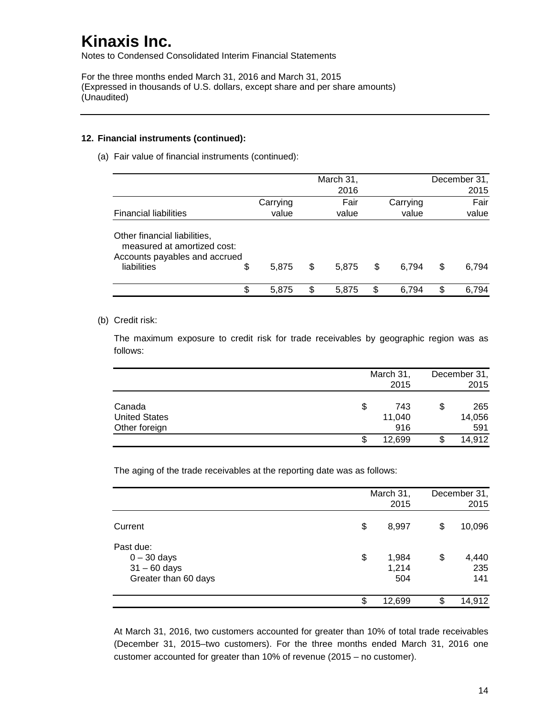Notes to Condensed Consolidated Interim Financial Statements

For the three months ended March 31, 2016 and March 31, 2015 (Expressed in thousands of U.S. dollars, except share and per share amounts) (Unaudited)

### **12. Financial instruments (continued):**

(a) Fair value of financial instruments (continued):

|                                                                                                                   |          |    | March 31,<br>2016 |             |    | December 31,<br>2015 |
|-------------------------------------------------------------------------------------------------------------------|----------|----|-------------------|-------------|----|----------------------|
|                                                                                                                   | Carrying |    | Fair              | Carrying    |    | Fair                 |
| <b>Financial liabilities</b>                                                                                      | value    |    | value             | value       |    | value                |
| Other financial liabilities,<br>measured at amortized cost:<br>Accounts payables and accrued<br>liabilities<br>\$ | 5.875    | \$ | 5.875             | \$<br>6.794 | \$ | 6.794                |
| \$                                                                                                                | 5.875    | S  | 5,875             | \$<br>6.794 | S  | 6,794                |

### (b) Credit risk:

The maximum exposure to credit risk for trade receivables by geographic region was as follows:

|                      | March 31, |    | December 31, |
|----------------------|-----------|----|--------------|
|                      | 2015      |    | 2015         |
| Canada               | \$<br>743 | \$ | 265          |
| <b>United States</b> | 11,040    |    | 14,056       |
| Other foreign        | 916       |    | 591          |
|                      | 12,699    |    | 14,912       |

The aging of the trade receivables at the reporting date was as follows:

|                                                                      | March 31,<br>2015           |    | December 31,<br>2015 |
|----------------------------------------------------------------------|-----------------------------|----|----------------------|
| Current                                                              | \$<br>8,997                 | \$ | 10,096               |
| Past due:<br>$0 - 30$ days<br>$31 - 60$ days<br>Greater than 60 days | \$<br>1,984<br>1,214<br>504 | \$ | 4,440<br>235<br>141  |
|                                                                      | \$<br>12,699                | S. | 14,912               |

At March 31, 2016, two customers accounted for greater than 10% of total trade receivables (December 31, 2015–two customers). For the three months ended March 31, 2016 one customer accounted for greater than 10% of revenue (2015 – no customer).